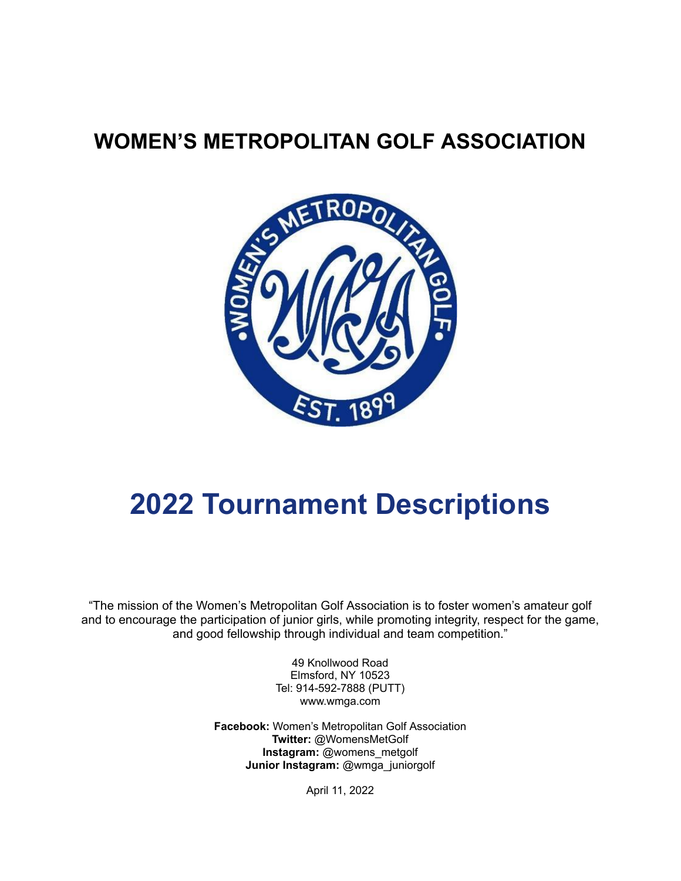## **WOMEN'S METROPOLITAN GOLF ASSOCIATION**



# **2022 Tournament Descriptions**

"The mission of the Women's Metropolitan Golf Association is to foster women's amateur golf and to encourage the participation of junior girls, while promoting integrity, respect for the game, and good fellowship through individual and team competition."

> 49 Knollwood Road Elmsford, NY 10523 Tel: 914-592-7888 (PUTT) www.wmga.com

**Facebook:** Women's Metropolitan Golf Association **Twitter:** @WomensMetGolf **Instagram:** @womens\_metgolf **Junior Instagram:** @wmga\_juniorgolf

April 11, 2022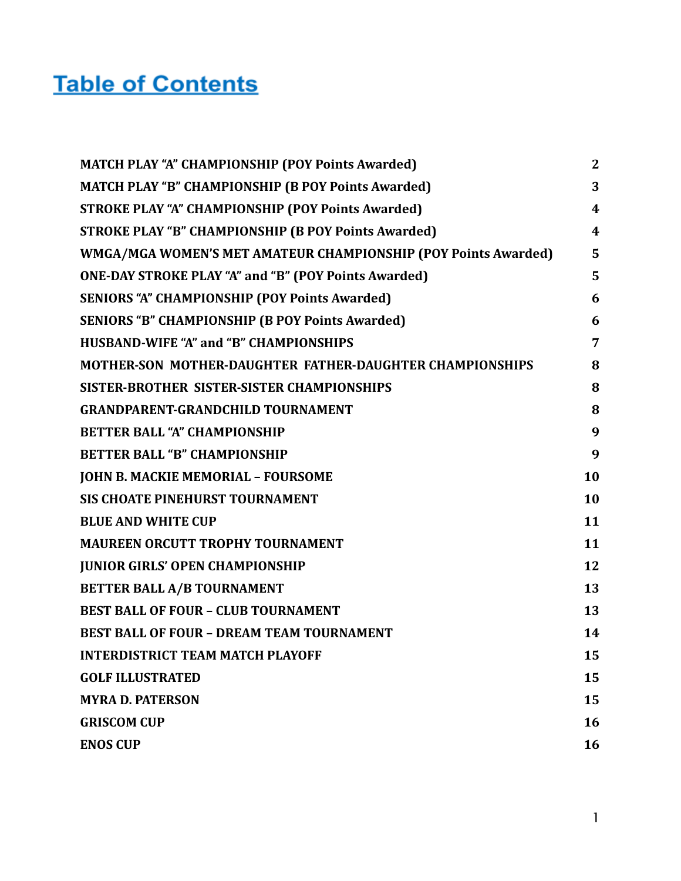## **Table of Contents**

| <b>MATCH PLAY "A" CHAMPIONSHIP (POY Points Awarded)</b>        | $\mathbf{2}$            |
|----------------------------------------------------------------|-------------------------|
| <b>MATCH PLAY "B" CHAMPIONSHIP (B POY Points Awarded)</b>      | 3                       |
| <b>STROKE PLAY "A" CHAMPIONSHIP (POY Points Awarded)</b>       | $\boldsymbol{4}$        |
| <b>STROKE PLAY "B" CHAMPIONSHIP (B POY Points Awarded)</b>     | $\overline{\mathbf{4}}$ |
| WMGA/MGA WOMEN'S MET AMATEUR CHAMPIONSHIP (POY Points Awarded) | 5                       |
| <b>ONE-DAY STROKE PLAY "A" and "B" (POY Points Awarded)</b>    | 5                       |
| <b>SENIORS "A" CHAMPIONSHIP (POY Points Awarded)</b>           | 6                       |
| <b>SENIORS "B" CHAMPIONSHIP (B POY Points Awarded)</b>         | 6                       |
| <b>HUSBAND-WIFE "A" and "B" CHAMPIONSHIPS</b>                  | $\overline{7}$          |
| MOTHER-SON MOTHER-DAUGHTER FATHER-DAUGHTER CHAMPIONSHIPS       | 8                       |
| SISTER-BROTHER SISTER-SISTER CHAMPIONSHIPS                     | 8                       |
| <b>GRANDPARENT-GRANDCHILD TOURNAMENT</b>                       | 8                       |
| <b>BETTER BALL "A" CHAMPIONSHIP</b>                            | 9                       |
| <b>BETTER BALL "B" CHAMPIONSHIP</b>                            | 9                       |
| <b>JOHN B. MACKIE MEMORIAL - FOURSOME</b>                      | 10                      |
| SIS CHOATE PINEHURST TOURNAMENT                                | 10                      |
| <b>BLUE AND WHITE CUP</b>                                      | 11                      |
| <b>MAUREEN ORCUTT TROPHY TOURNAMENT</b>                        | 11                      |
| <b>JUNIOR GIRLS' OPEN CHAMPIONSHIP</b>                         | 12                      |
| <b>BETTER BALL A/B TOURNAMENT</b>                              | 13                      |
| <b>BEST BALL OF FOUR - CLUB TOURNAMENT</b>                     | 13                      |
| <b>BEST BALL OF FOUR - DREAM TEAM TOURNAMENT</b>               | 14                      |
| <b>INTERDISTRICT TEAM MATCH PLAYOFF</b>                        | 15                      |
| <b>GOLF ILLUSTRATED</b>                                        | 15                      |
| <b>MYRA D. PATERSON</b>                                        | 15                      |
| <b>GRISCOM CUP</b>                                             | 16                      |
| <b>ENOS CUP</b>                                                | 16                      |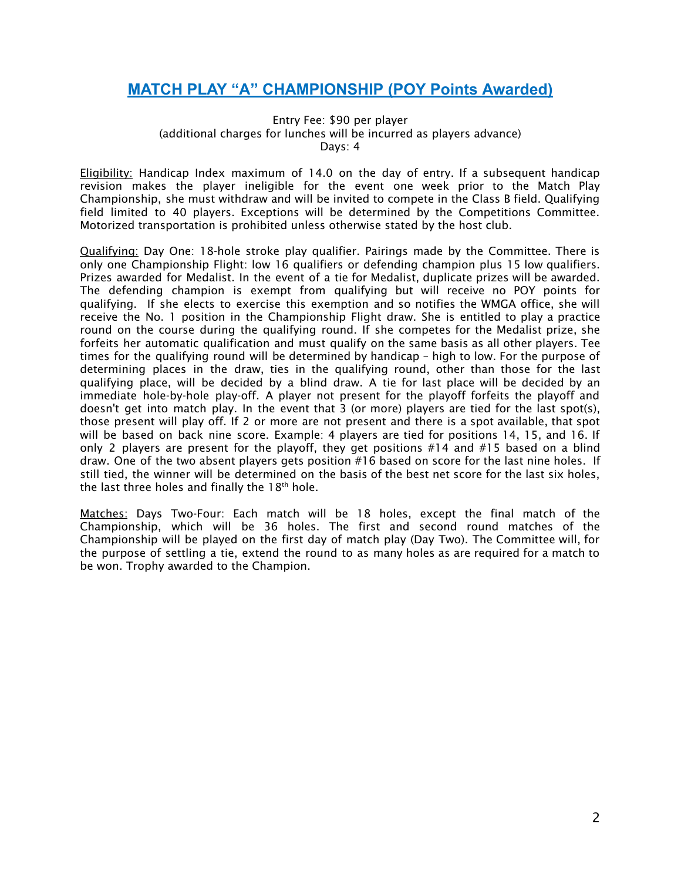### <span id="page-2-0"></span>**MATCH PLAY "A" CHAMPIONSHIP (POY Points Awarded)**

Entry Fee: \$90 per player (additional charges for lunches will be incurred as players advance) Days: 4

Eligibility: Handicap Index maximum of 14.0 on the day of entry. If a subsequent handicap revision makes the player ineligible for the event one week prior to the Match Play Championship, she must withdraw and will be invited to compete in the Class B field. Qualifying field limited to 40 players. Exceptions will be determined by the Competitions Committee. Motorized transportation is prohibited unless otherwise stated by the host club.

Qualifying: Day One: 18-hole stroke play qualifier. Pairings made by the Committee. There is only one Championship Flight: low 16 qualifiers or defending champion plus 15 low qualifiers. Prizes awarded for Medalist. In the event of a tie for Medalist, duplicate prizes will be awarded. The defending champion is exempt from qualifying but will receive no POY points for qualifying. If she elects to exercise this exemption and so notifies the WMGA office, she will receive the No. 1 position in the Championship Flight draw. She is entitled to play a practice round on the course during the qualifying round. If she competes for the Medalist prize, she forfeits her automatic qualification and must qualify on the same basis as all other players. Tee times for the qualifying round will be determined by handicap – high to low. For the purpose of determining places in the draw, ties in the qualifying round, other than those for the last qualifying place, will be decided by a blind draw. A tie for last place will be decided by an immediate hole-by-hole play-off. A player not present for the playoff forfeits the playoff and doesn't get into match play. In the event that 3 (or more) players are tied for the last spot(s), those present will play off. If 2 or more are not present and there is a spot available, that spot will be based on back nine score. Example: 4 players are tied for positions 14, 15, and 16. If only 2 players are present for the playoff, they get positions #14 and #15 based on a blind draw. One of the two absent players gets position #16 based on score for the last nine holes. If still tied, the winner will be determined on the basis of the best net score for the last six holes, the last three holes and finally the  $18<sup>th</sup>$  hole.

Matches: Days Two-Four: Each match will be 18 holes, except the final match of the Championship, which will be 36 holes. The first and second round matches of the Championship will be played on the first day of match play (Day Two). The Committee will, for the purpose of settling a tie, extend the round to as many holes as are required for a match to be won. Trophy awarded to the Champion.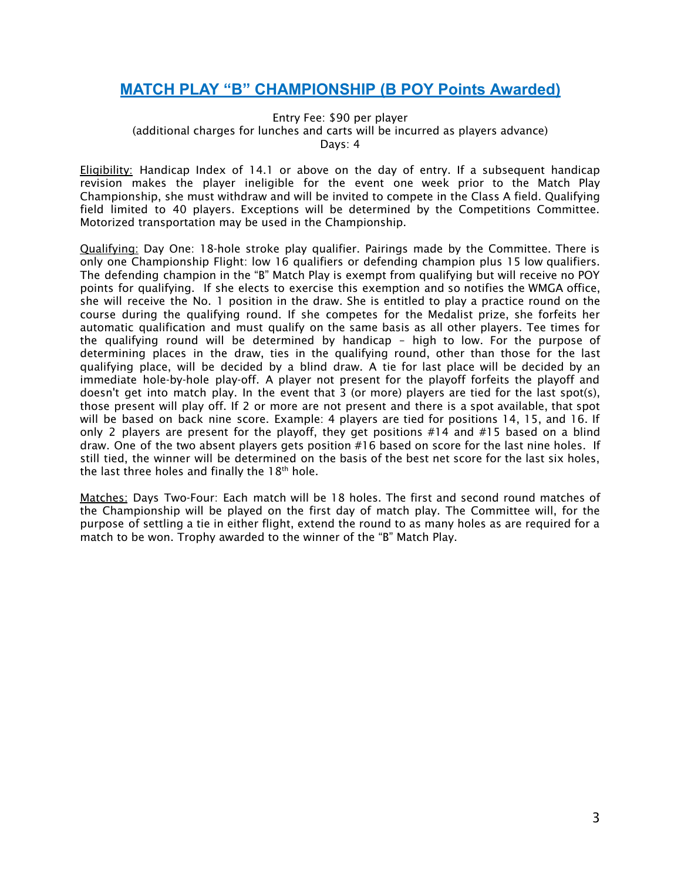### <span id="page-3-0"></span>**MATCH PLAY "B" CHAMPIONSHIP (B POY Points Awarded)**

#### Entry Fee: \$90 per player (additional charges for lunches and carts will be incurred as players advance) Days: 4

Eligibility: Handicap Index of 14.1 or above on the day of entry. If a subsequent handicap revision makes the player ineligible for the event one week prior to the Match Play Championship, she must withdraw and will be invited to compete in the Class A field. Qualifying field limited to 40 players. Exceptions will be determined by the Competitions Committee. Motorized transportation may be used in the Championship.

Qualifying: Day One: 18-hole stroke play qualifier. Pairings made by the Committee. There is only one Championship Flight: low 16 qualifiers or defending champion plus 15 low qualifiers. The defending champion in the "B" Match Play is exempt from qualifying but will receive no POY points for qualifying. If she elects to exercise this exemption and so notifies the WMGA office, she will receive the No. 1 position in the draw. She is entitled to play a practice round on the course during the qualifying round. If she competes for the Medalist prize, she forfeits her automatic qualification and must qualify on the same basis as all other players. Tee times for the qualifying round will be determined by handicap – high to low. For the purpose of determining places in the draw, ties in the qualifying round, other than those for the last qualifying place, will be decided by a blind draw. A tie for last place will be decided by an immediate hole-by-hole play-off. A player not present for the playoff forfeits the playoff and doesn't get into match play. In the event that 3 (or more) players are tied for the last spot(s), those present will play off. If 2 or more are not present and there is a spot available, that spot will be based on back nine score. Example: 4 players are tied for positions 14, 15, and 16. If only 2 players are present for the playoff, they get positions #14 and #15 based on a blind draw. One of the two absent players gets position #16 based on score for the last nine holes. If still tied, the winner will be determined on the basis of the best net score for the last six holes, the last three holes and finally the  $18<sup>th</sup>$  hole.

Matches: Days Two-Four: Each match will be 18 holes. The first and second round matches of the Championship will be played on the first day of match play. The Committee will, for the purpose of settling a tie in either flight, extend the round to as many holes as are required for a match to be won. Trophy awarded to the winner of the "B" Match Play.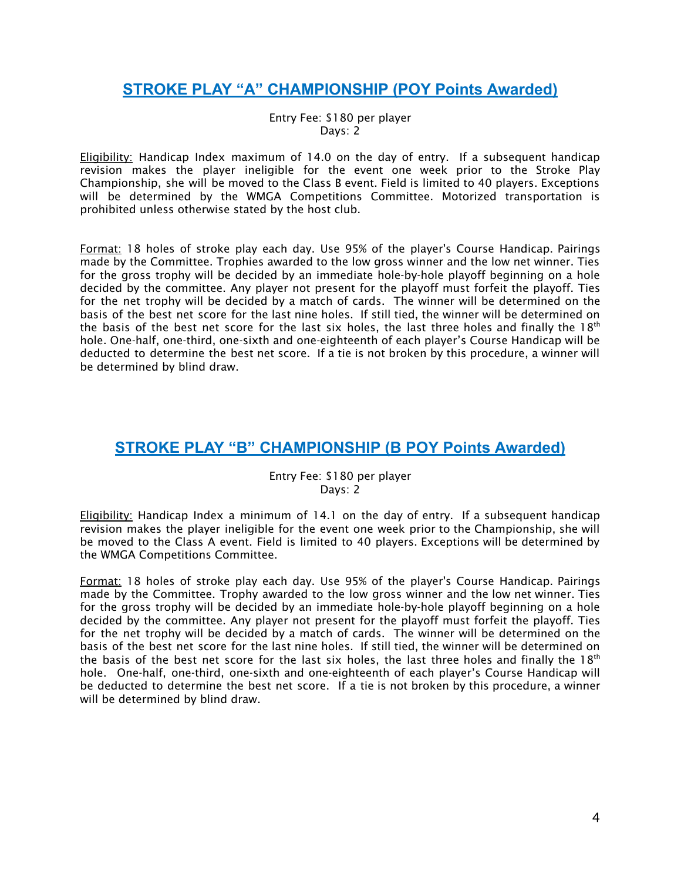## <span id="page-4-0"></span>**STROKE PLAY "A" CHAMPIONSHIP (POY Points Awarded)**

Entry Fee: \$180 per player Days: 2

**Eligibility:** Handicap Index maximum of 14.0 on the day of entry. If a subsequent handicap revision makes the player ineligible for the event one week prior to the Stroke Play Championship, she will be moved to the Class B event. Field is limited to 40 players. Exceptions will be determined by the WMGA Competitions Committee. Motorized transportation is prohibited unless otherwise stated by the host club.

Format: 18 holes of stroke play each day. Use 95% of the player's Course Handicap. Pairings made by the Committee. Trophies awarded to the low gross winner and the low net winner. Ties for the gross trophy will be decided by an immediate hole-by-hole playoff beginning on a hole decided by the committee. Any player not present for the playoff must forfeit the playoff. Ties for the net trophy will be decided by a match of cards. The winner will be determined on the basis of the best net score for the last nine holes. If still tied, the winner will be determined on the basis of the best net score for the last six holes, the last three holes and finally the 18<sup>th</sup> hole. One-half, one-third, one-sixth and one-eighteenth of each player's Course Handicap will be deducted to determine the best net score. If a tie is not broken by this procedure, a winner will be determined by blind draw.

## <span id="page-4-1"></span>**STROKE PLAY "B" CHAMPIONSHIP (B POY Points Awarded)**

Entry Fee: \$180 per player Days: 2

Eligibility: Handicap Index a minimum of 14.1 on the day of entry. If a subsequent handicap revision makes the player ineligible for the event one week prior to the Championship, she will be moved to the Class A event. Field is limited to 40 players. Exceptions will be determined by the WMGA Competitions Committee.

Format: 18 holes of stroke play each day. Use 95% of the player's Course Handicap. Pairings made by the Committee. Trophy awarded to the low gross winner and the low net winner. Ties for the gross trophy will be decided by an immediate hole-by-hole playoff beginning on a hole decided by the committee. Any player not present for the playoff must forfeit the playoff. Ties for the net trophy will be decided by a match of cards. The winner will be determined on the basis of the best net score for the last nine holes. If still tied, the winner will be determined on the basis of the best net score for the last six holes, the last three holes and finally the  $18<sup>th</sup>$ hole. One-half, one-third, one-sixth and one-eighteenth of each player's Course Handicap will be deducted to determine the best net score. If a tie is not broken by this procedure, a winner will be determined by blind draw.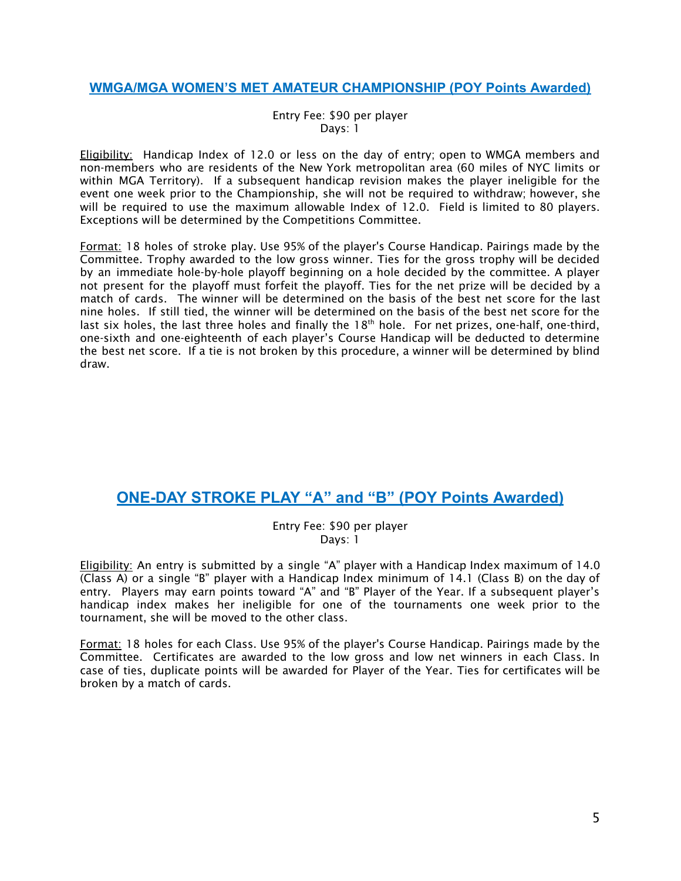#### <span id="page-5-0"></span>**WMGA/MGA WOMEN'S MET AMATEUR CHAMPIONSHIP (POY Points Awarded)**

#### Entry Fee: \$90 per player Days: 1

Eligibility: Handicap Index of 12.0 or less on the day of entry; open to WMGA members and non-members who are residents of the New York metropolitan area (60 miles of NYC limits or within MGA Territory). If a subsequent handicap revision makes the player ineligible for the event one week prior to the Championship, she will not be required to withdraw; however, she will be required to use the maximum allowable Index of 12.0. Field is limited to 80 players. Exceptions will be determined by the Competitions Committee.

Format: 18 holes of stroke play. Use 95% of the player's Course Handicap. Pairings made by the Committee. Trophy awarded to the low gross winner. Ties for the gross trophy will be decided by an immediate hole-by-hole playoff beginning on a hole decided by the committee. A player not present for the playoff must forfeit the playoff. Ties for the net prize will be decided by a match of cards. The winner will be determined on the basis of the best net score for the last nine holes. If still tied, the winner will be determined on the basis of the best net score for the last six holes, the last three holes and finally the 18<sup>th</sup> hole. For net prizes, one-half, one-third, one-sixth and one-eighteenth of each player's Course Handicap will be deducted to determine the best net score. If a tie is not broken by this procedure, a winner will be determined by blind draw.

### <span id="page-5-1"></span>**ONE-DAY STROKE PLAY "A" and "B" (POY Points Awarded)**

#### Entry Fee: \$90 per player Days: 1

Eligibility: An entry is submitted by a single "A" player with a Handicap Index maximum of 14.0 (Class A) or a single "B" player with a Handicap Index minimum of 14.1 (Class B) on the day of entry. Players may earn points toward "A" and "B" Player of the Year. If a subsequent player's handicap index makes her ineligible for one of the tournaments one week prior to the tournament, she will be moved to the other class.

Format: 18 holes for each Class. Use 95% of the player's Course Handicap. Pairings made by the Committee. Certificates are awarded to the low gross and low net winners in each Class. In case of ties, duplicate points will be awarded for Player of the Year. Ties for certificates will be broken by a match of cards.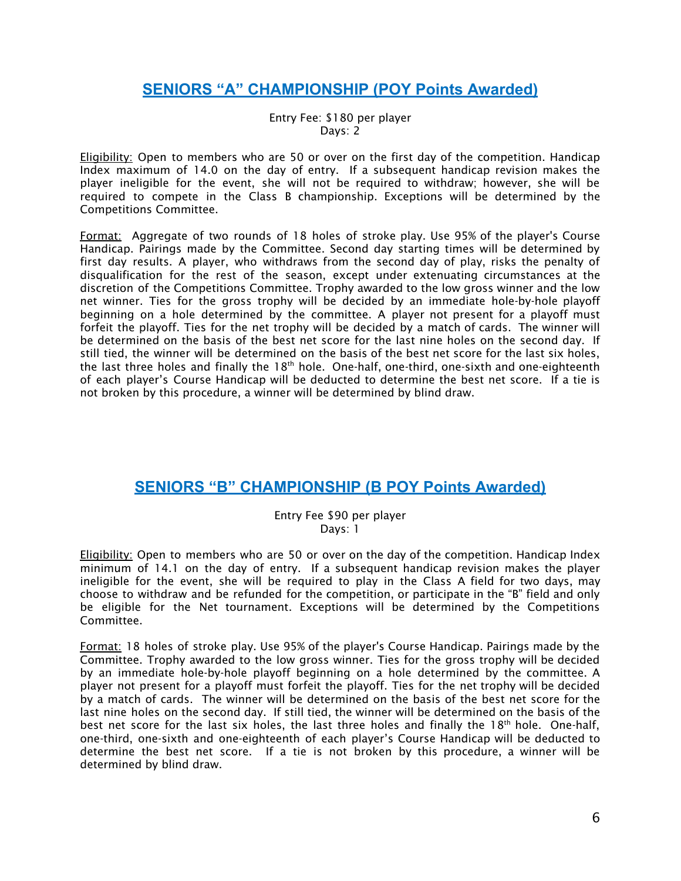## <span id="page-6-0"></span>**SENIORS "A" CHAMPIONSHIP (POY Points Awarded)**

Entry Fee: \$180 per player Days: 2

**Eligibility:** Open to members who are 50 or over on the first day of the competition. Handicap Index maximum of 14.0 on the day of entry. If a subsequent handicap revision makes the player ineligible for the event, she will not be required to withdraw; however, she will be required to compete in the Class B championship. Exceptions will be determined by the Competitions Committee.

Format: Aggregate of two rounds of 18 holes of stroke play. Use 95% of the player's Course Handicap. Pairings made by the Committee. Second day starting times will be determined by first day results. A player, who withdraws from the second day of play, risks the penalty of disqualification for the rest of the season, except under extenuating circumstances at the discretion of the Competitions Committee. Trophy awarded to the low gross winner and the low net winner. Ties for the gross trophy will be decided by an immediate hole-by-hole playoff beginning on a hole determined by the committee. A player not present for a playoff must forfeit the playoff. Ties for the net trophy will be decided by a match of cards. The winner will be determined on the basis of the best net score for the last nine holes on the second day. If still tied, the winner will be determined on the basis of the best net score for the last six holes, the last three holes and finally the 18<sup>th</sup> hole. One-half, one-third, one-sixth and one-eighteenth of each player's Course Handicap will be deducted to determine the best net score. If a tie is not broken by this procedure, a winner will be determined by blind draw.

### <span id="page-6-1"></span>**SENIORS "B" CHAMPIONSHIP (B POY Points Awarded)**

#### Entry Fee \$90 per player Days: 1

Eligibility: Open to members who are 50 or over on the day of the competition. Handicap Index minimum of 14.1 on the day of entry. If a subsequent handicap revision makes the player ineligible for the event, she will be required to play in the Class A field for two days, may choose to withdraw and be refunded for the competition, or participate in the "B" field and only be eligible for the Net tournament. Exceptions will be determined by the Competitions Committee.

Format: 18 holes of stroke play. Use 95% of the player's Course Handicap. Pairings made by the Committee. Trophy awarded to the low gross winner. Ties for the gross trophy will be decided by an immediate hole-by-hole playoff beginning on a hole determined by the committee. A player not present for a playoff must forfeit the playoff. Ties for the net trophy will be decided by a match of cards. The winner will be determined on the basis of the best net score for the last nine holes on the second day. If still tied, the winner will be determined on the basis of the best net score for the last six holes, the last three holes and finally the  $18<sup>th</sup>$  hole. One-half, one-third, one-sixth and one-eighteenth of each player's Course Handicap will be deducted to determine the best net score. If a tie is not broken by this procedure, a winner will be determined by blind draw.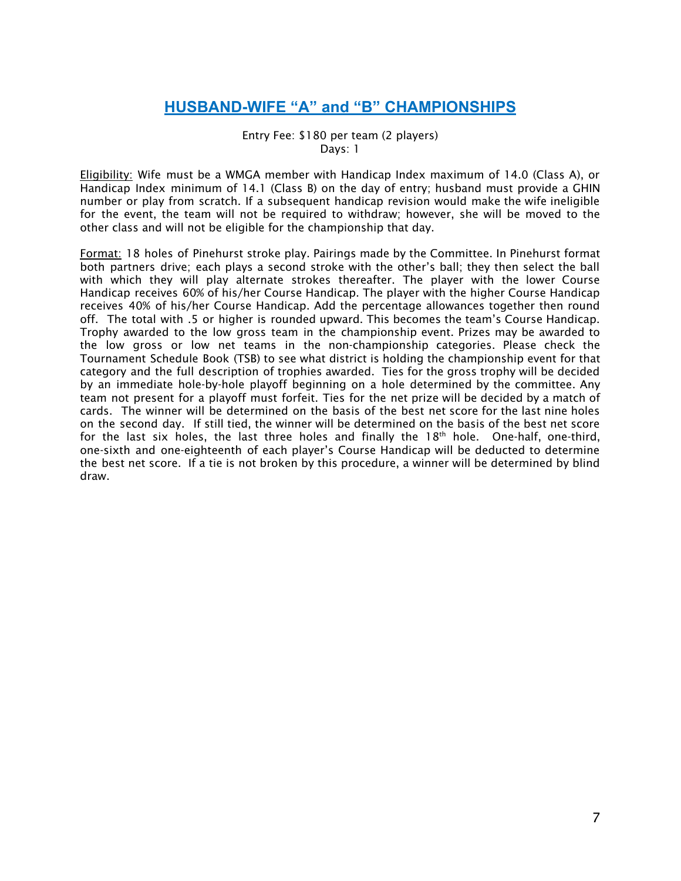## **HUSBAND-WIFE "A" and "B" CHAMPIONSHIPS**

Entry Fee: \$180 per team (2 players) Days: 1

<span id="page-7-0"></span>Eligibility: Wife must be a WMGA member with Handicap Index maximum of 14.0 (Class A), or Handicap Index minimum of 14.1 (Class B) on the day of entry; husband must provide a GHIN number or play from scratch. If a subsequent handicap revision would make the wife ineligible for the event, the team will not be required to withdraw; however, she will be moved to the other class and will not be eligible for the championship that day.

Format: 18 holes of Pinehurst stroke play. Pairings made by the Committee. In Pinehurst format both partners drive; each plays a second stroke with the other's ball; they then select the ball with which they will play alternate strokes thereafter. The player with the lower Course Handicap receives 60% of his/her Course Handicap. The player with the higher Course Handicap receives 40% of his/her Course Handicap. Add the percentage allowances together then round off. The total with .5 or higher is rounded upward. This becomes the team's Course Handicap. Trophy awarded to the low gross team in the championship event. Prizes may be awarded to the low gross or low net teams in the non-championship categories. Please check the Tournament Schedule Book (TSB) to see what district is holding the championship event for that category and the full description of trophies awarded. Ties for the gross trophy will be decided by an immediate hole-by-hole playoff beginning on a hole determined by the committee. Any team not present for a playoff must forfeit. Ties for the net prize will be decided by a match of cards. The winner will be determined on the basis of the best net score for the last nine holes on the second day. If still tied, the winner will be determined on the basis of the best net score for the last six holes, the last three holes and finally the 18<sup>th</sup> hole. One-half, one-third, one-sixth and one-eighteenth of each player's Course Handicap will be deducted to determine the best net score. If a tie is not broken by this procedure, a winner will be determined by blind draw.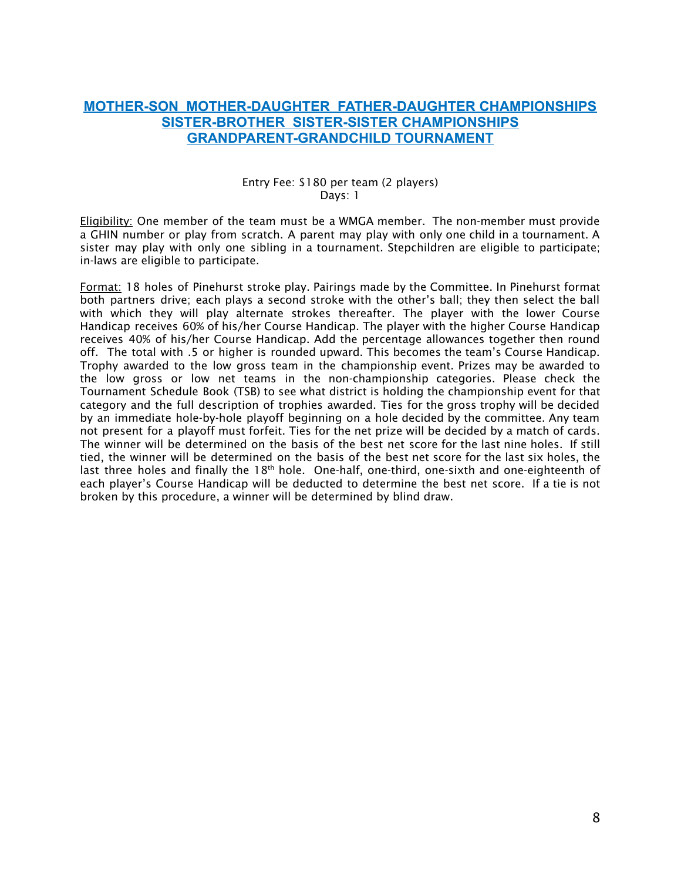#### <span id="page-8-2"></span><span id="page-8-1"></span><span id="page-8-0"></span>**MOTHER-SON MOTHER-DAUGHTER FATHER-DAUGHTER CHAMPIONSHIPS SISTER-BROTHER SISTER-SISTER CHAMPIONSHIPS GRANDPARENT-GRANDCHILD TOURNAMENT**

#### Entry Fee: \$180 per team (2 players) Days: 1

Eligibility: One member of the team must be a WMGA member. The non-member must provide a GHIN number or play from scratch. A parent may play with only one child in a tournament. A sister may play with only one sibling in a tournament. Stepchildren are eligible to participate; in-laws are eligible to participate.

Format: 18 holes of Pinehurst stroke play. Pairings made by the Committee. In Pinehurst format both partners drive; each plays a second stroke with the other's ball; they then select the ball with which they will play alternate strokes thereafter. The player with the lower Course Handicap receives 60% of his/her Course Handicap. The player with the higher Course Handicap receives 40% of his/her Course Handicap. Add the percentage allowances together then round off. The total with .5 or higher is rounded upward. This becomes the team's Course Handicap. Trophy awarded to the low gross team in the championship event. Prizes may be awarded to the low gross or low net teams in the non-championship categories. Please check the Tournament Schedule Book (TSB) to see what district is holding the championship event for that category and the full description of trophies awarded. Ties for the gross trophy will be decided by an immediate hole-by-hole playoff beginning on a hole decided by the committee. Any team not present for a playoff must forfeit. Ties for the net prize will be decided by a match of cards. The winner will be determined on the basis of the best net score for the last nine holes. If still tied, the winner will be determined on the basis of the best net score for the last six holes, the last three holes and finally the 18<sup>th</sup> hole. One-half, one-third, one-sixth and one-eighteenth of each player's Course Handicap will be deducted to determine the best net score. If a tie is not broken by this procedure, a winner will be determined by blind draw.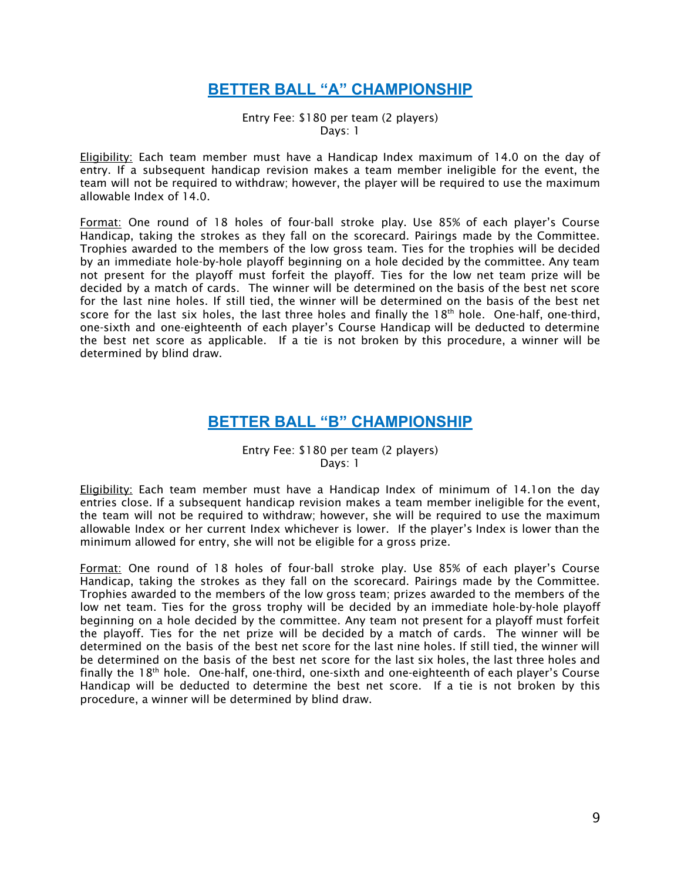### **BETTER BALL "A" CHAMPIONSHIP**

Entry Fee: \$180 per team (2 players) Days: 1

<span id="page-9-0"></span>**Eligibility:** Each team member must have a Handicap Index maximum of 14.0 on the day of entry. If a subsequent handicap revision makes a team member ineligible for the event, the team will not be required to withdraw; however, the player will be required to use the maximum allowable Index of 14.0.

Format: One round of 18 holes of four-ball stroke play. Use 85% of each player's Course Handicap, taking the strokes as they fall on the scorecard. Pairings made by the Committee. Trophies awarded to the members of the low gross team. Ties for the trophies will be decided by an immediate hole-by-hole playoff beginning on a hole decided by the committee. Any team not present for the playoff must forfeit the playoff. Ties for the low net team prize will be decided by a match of cards. The winner will be determined on the basis of the best net score for the last nine holes. If still tied, the winner will be determined on the basis of the best net score for the last six holes, the last three holes and finally the  $18<sup>th</sup>$  hole. One-half, one-third, one-sixth and one-eighteenth of each player's Course Handicap will be deducted to determine the best net score as applicable. If a tie is not broken by this procedure, a winner will be determined by blind draw.

#### **BETTER BALL "B" CHAMPIONSHIP**

#### Entry Fee: \$180 per team (2 players) Days: 1

<span id="page-9-1"></span>**Eligibility:** Each team member must have a Handicap Index of minimum of 14.1on the day entries close. If a subsequent handicap revision makes a team member ineligible for the event, the team will not be required to withdraw; however, she will be required to use the maximum allowable Index or her current Index whichever is lower. If the player's Index is lower than the minimum allowed for entry, she will not be eligible for a gross prize.

Format: One round of 18 holes of four-ball stroke play. Use 85% of each player's Course Handicap, taking the strokes as they fall on the scorecard. Pairings made by the Committee. Trophies awarded to the members of the low gross team; prizes awarded to the members of the low net team. Ties for the gross trophy will be decided by an immediate hole-by-hole playoff beginning on a hole decided by the committee. Any team not present for a playoff must forfeit the playoff. Ties for the net prize will be decided by a match of cards. The winner will be determined on the basis of the best net score for the last nine holes. If still tied, the winner will be determined on the basis of the best net score for the last six holes, the last three holes and finally the 18<sup>th</sup> hole. One-half, one-third, one-sixth and one-eighteenth of each player's Course Handicap will be deducted to determine the best net score. If a tie is not broken by this procedure, a winner will be determined by blind draw.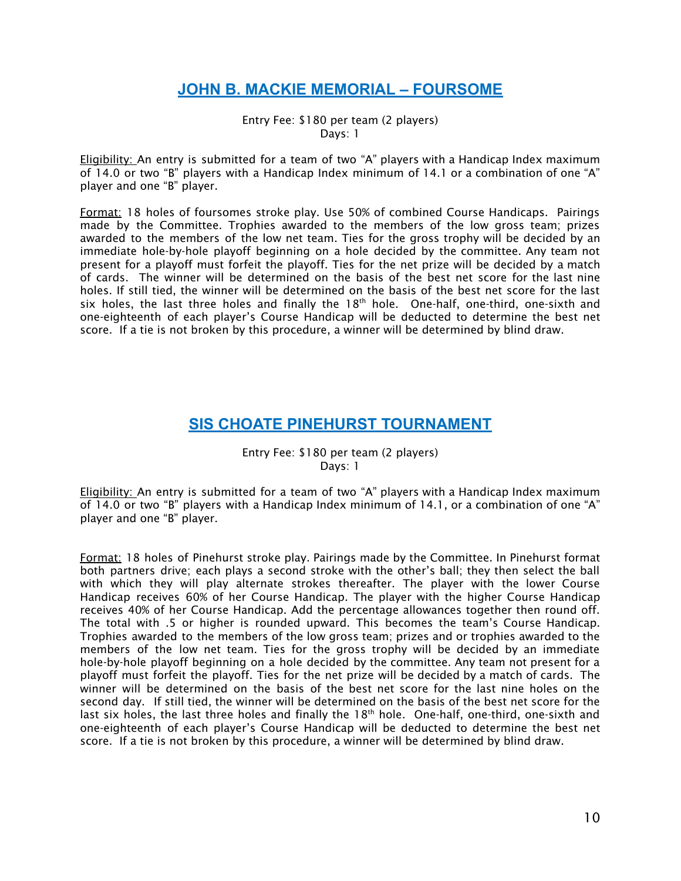## **JOHN B. MACKIE MEMORIAL – FOURSOME**

Entry Fee: \$180 per team (2 players) Days: 1

<span id="page-10-0"></span>Eligibility: An entry is submitted for a team of two "A" players with a Handicap Index maximum of 14.0 or two "B" players with a Handicap Index minimum of 14.1 or a combination of one "A" player and one "B" player.

Format: 18 holes of foursomes stroke play. Use 50% of combined Course Handicaps. Pairings made by the Committee. Trophies awarded to the members of the low gross team; prizes awarded to the members of the low net team. Ties for the gross trophy will be decided by an immediate hole-by-hole playoff beginning on a hole decided by the committee. Any team not present for a playoff must forfeit the playoff. Ties for the net prize will be decided by a match of cards. The winner will be determined on the basis of the best net score for the last nine holes. If still tied, the winner will be determined on the basis of the best net score for the last six holes, the last three holes and finally the  $18<sup>th</sup>$  hole. One-half, one-third, one-sixth and one-eighteenth of each player's Course Handicap will be deducted to determine the best net score. If a tie is not broken by this procedure, a winner will be determined by blind draw.

### **SIS CHOATE PINEHURST TOURNAMENT**

Entry Fee: \$180 per team (2 players) Days: 1

<span id="page-10-1"></span>Eligibility: An entry is submitted for a team of two "A" players with a Handicap Index maximum of 14.0 or two "B" players with a Handicap Index minimum of 14.1, or a combination of one "A" player and one "B" player.

Format: 18 holes of Pinehurst stroke play. Pairings made by the Committee. In Pinehurst format both partners drive; each plays a second stroke with the other's ball; they then select the ball with which they will play alternate strokes thereafter. The player with the lower Course Handicap receives 60% of her Course Handicap. The player with the higher Course Handicap receives 40% of her Course Handicap. Add the percentage allowances together then round off. The total with .5 or higher is rounded upward. This becomes the team's Course Handicap. Trophies awarded to the members of the low gross team; prizes and or trophies awarded to the members of the low net team. Ties for the gross trophy will be decided by an immediate hole-by-hole playoff beginning on a hole decided by the committee. Any team not present for a playoff must forfeit the playoff. Ties for the net prize will be decided by a match of cards. The winner will be determined on the basis of the best net score for the last nine holes on the second day. If still tied, the winner will be determined on the basis of the best net score for the last six holes, the last three holes and finally the  $18<sup>th</sup>$  hole. One-half, one-third, one-sixth and one-eighteenth of each player's Course Handicap will be deducted to determine the best net score. If a tie is not broken by this procedure, a winner will be determined by blind draw.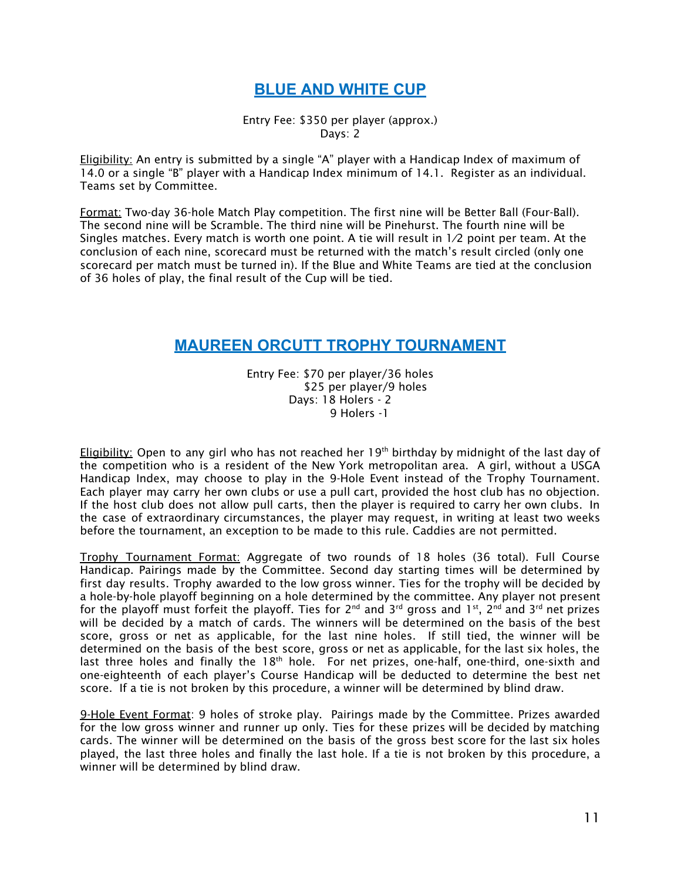## **BLUE AND WHITE CUP**

Entry Fee: \$350 per player (approx.) Days: 2

<span id="page-11-0"></span>Eligibility: An entry is submitted by a single "A" player with a Handicap Index of maximum of 14.0 or a single "B" player with a Handicap Index minimum of 14.1. Register as an individual. Teams set by Committee.

Format: Two-day 36-hole Match Play competition. The first nine will be Better Ball (Four-Ball). The second nine will be Scramble. The third nine will be Pinehurst. The fourth nine will be Singles matches. Every match is worth one point. A tie will result in 1⁄2 point per team. At the conclusion of each nine, scorecard must be returned with the match's result circled (only one scorecard per match must be turned in). If the Blue and White Teams are tied at the conclusion of 36 holes of play, the final result of the Cup will be tied.

### <span id="page-11-1"></span>**MAUREEN ORCUTT TROPHY TOURNAMENT**

Entry Fee: \$70 per player/36 holes \$25 per player/9 holes Days: 18 Holers - 2 9 Holers -1

Eligibility: Open to any girl who has not reached her 19<sup>th</sup> birthday by midnight of the last day of the competition who is a resident of the New York metropolitan area. A girl, without a USGA Handicap Index, may choose to play in the 9-Hole Event instead of the Trophy Tournament. Each player may carry her own clubs or use a pull cart, provided the host club has no objection. If the host club does not allow pull carts, then the player is required to carry her own clubs. In the case of extraordinary circumstances, the player may request, in writing at least two weeks before the tournament, an exception to be made to this rule. Caddies are not permitted.

Trophy Tournament Format: Aggregate of two rounds of 18 holes (36 total). Full Course Handicap. Pairings made by the Committee. Second day starting times will be determined by first day results. Trophy awarded to the low gross winner. Ties for the trophy will be decided by a hole-by-hole playoff beginning on a hole determined by the committee. Any player not present for the playoff must forfeit the playoff. Ties for 2<sup>nd</sup> and 3<sup>rd</sup> gross and 1<sup>st</sup>, 2<sup>nd</sup> and 3<sup>rd</sup> net prizes will be decided by a match of cards. The winners will be determined on the basis of the best score, gross or net as applicable, for the last nine holes. If still tied, the winner will be determined on the basis of the best score, gross or net as applicable, for the last six holes, the last three holes and finally the  $18<sup>th</sup>$  hole. For net prizes, one-half, one-third, one-sixth and one-eighteenth of each player's Course Handicap will be deducted to determine the best net score. If a tie is not broken by this procedure, a winner will be determined by blind draw.

9-Hole Event Format: 9 holes of stroke play. Pairings made by the Committee. Prizes awarded for the low gross winner and runner up only. Ties for these prizes will be decided by matching cards. The winner will be determined on the basis of the gross best score for the last six holes played, the last three holes and finally the last hole. If a tie is not broken by this procedure, a winner will be determined by blind draw.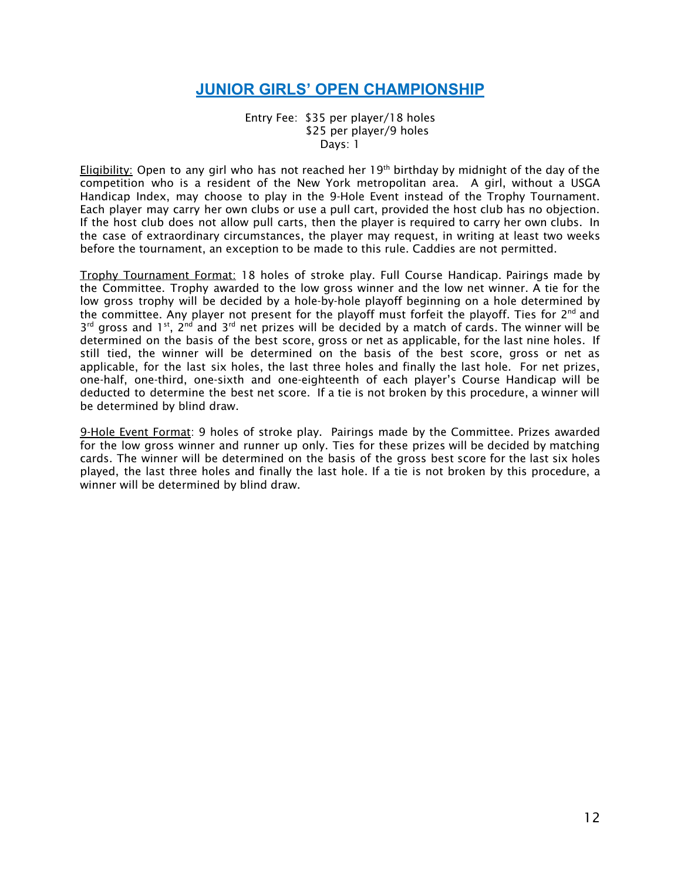## **JUNIOR GIRLS' OPEN CHAMPIONSHIP**

Entry Fee: \$35 per player/18 holes \$25 per player/9 holes Days: 1

<span id="page-12-0"></span><u>Eligibility:</u> Open to any girl who has not reached her 19<sup>th</sup> birthday by midnight of the day of the competition who is a resident of the New York metropolitan area. A girl, without a USGA Handicap Index, may choose to play in the 9-Hole Event instead of the Trophy Tournament. Each player may carry her own clubs or use a pull cart, provided the host club has no objection. If the host club does not allow pull carts, then the player is required to carry her own clubs. In the case of extraordinary circumstances, the player may request, in writing at least two weeks before the tournament, an exception to be made to this rule. Caddies are not permitted.

Trophy Tournament Format: 18 holes of stroke play. Full Course Handicap. Pairings made by the Committee. Trophy awarded to the low gross winner and the low net winner. A tie for the low gross trophy will be decided by a hole-by-hole playoff beginning on a hole determined by the committee. Any player not present for the playoff must forfeit the playoff. Ties for 2<sup>nd</sup> and  $3^{rd}$  gross and 1<sup>st</sup>, 2<sup>nd</sup> and 3<sup>rd</sup> net prizes will be decided by a match of cards. The winner will be determined on the basis of the best score, gross or net as applicable, for the last nine holes. If still tied, the winner will be determined on the basis of the best score, gross or net as applicable, for the last six holes, the last three holes and finally the last hole. For net prizes, one-half, one-third, one-sixth and one-eighteenth of each player's Course Handicap will be deducted to determine the best net score. If a tie is not broken by this procedure, a winner will be determined by blind draw.

9-Hole Event Format: 9 holes of stroke play. Pairings made by the Committee. Prizes awarded for the low gross winner and runner up only. Ties for these prizes will be decided by matching cards. The winner will be determined on the basis of the gross best score for the last six holes played, the last three holes and finally the last hole. If a tie is not broken by this procedure, a winner will be determined by blind draw.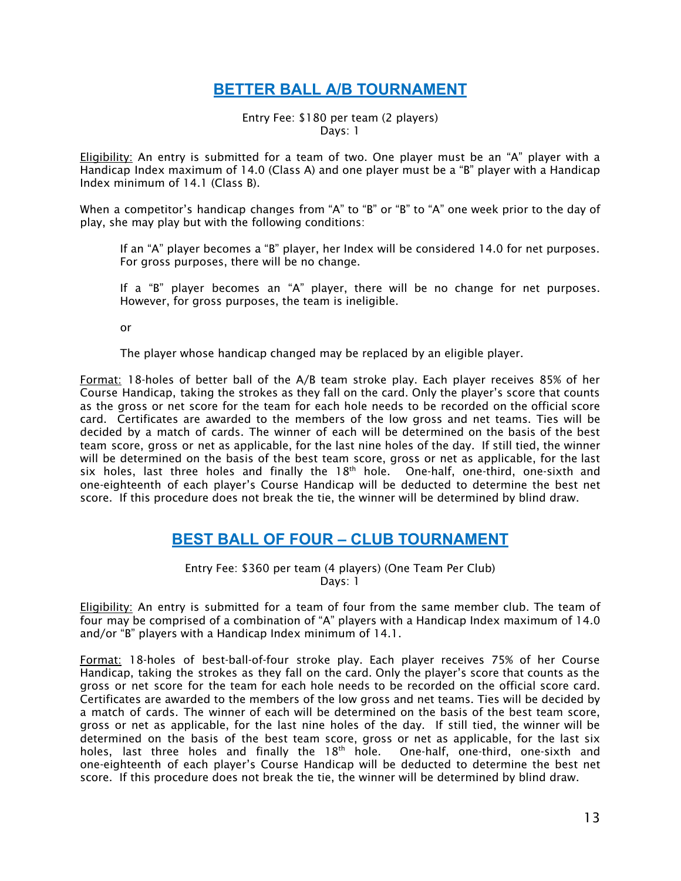## **BETTER BALL A/B TOURNAMENT**

#### Entry Fee: \$180 per team (2 players) Days: 1

<span id="page-13-0"></span>**Eligibility:** An entry is submitted for a team of two. One player must be an "A" player with a Handicap Index maximum of 14.0 (Class A) and one player must be a "B" player with a Handicap Index minimum of 14.1 (Class B).

When a competitor's handicap changes from "A" to "B" or "B" to "A" one week prior to the day of play, she may play but with the following conditions:

If an "A" player becomes a "B" player, her Index will be considered 14.0 for net purposes. For gross purposes, there will be no change.

If a "B" player becomes an "A" player, there will be no change for net purposes. However, for gross purposes, the team is ineligible.

or

The player whose handicap changed may be replaced by an eligible player.

Format: 18-holes of better ball of the A/B team stroke play. Each player receives 85% of her Course Handicap, taking the strokes as they fall on the card. Only the player's score that counts as the gross or net score for the team for each hole needs to be recorded on the official score card. Certificates are awarded to the members of the low gross and net teams. Ties will be decided by a match of cards. The winner of each will be determined on the basis of the best team score, gross or net as applicable, for the last nine holes of the day. If still tied, the winner will be determined on the basis of the best team score, gross or net as applicable, for the last six holes, last three holes and finally the  $18<sup>th</sup>$  hole. One-half, one-third, one-sixth and one-eighteenth of each player's Course Handicap will be deducted to determine the best net score. If this procedure does not break the tie, the winner will be determined by blind draw.

### **BEST BALL OF FOUR – CLUB TOURNAMENT**

Entry Fee: \$360 per team (4 players) (One Team Per Club) Days: 1

<span id="page-13-1"></span>Eligibility: An entry is submitted for a team of four from the same member club. The team of four may be comprised of a combination of "A" players with a Handicap Index maximum of 14.0 and/or "B" players with a Handicap Index minimum of 14.1.

Format: 18-holes of best-ball-of-four stroke play. Each player receives 75% of her Course Handicap, taking the strokes as they fall on the card. Only the player's score that counts as the gross or net score for the team for each hole needs to be recorded on the official score card. Certificates are awarded to the members of the low gross and net teams. Ties will be decided by a match of cards. The winner of each will be determined on the basis of the best team score, gross or net as applicable, for the last nine holes of the day. If still tied, the winner will be determined on the basis of the best team score, gross or net as applicable, for the last six holes, last three holes and finally the 18<sup>th</sup> hole. One-half, one-third, one-sixth and one-eighteenth of each player's Course Handicap will be deducted to determine the best net score. If this procedure does not break the tie, the winner will be determined by blind draw.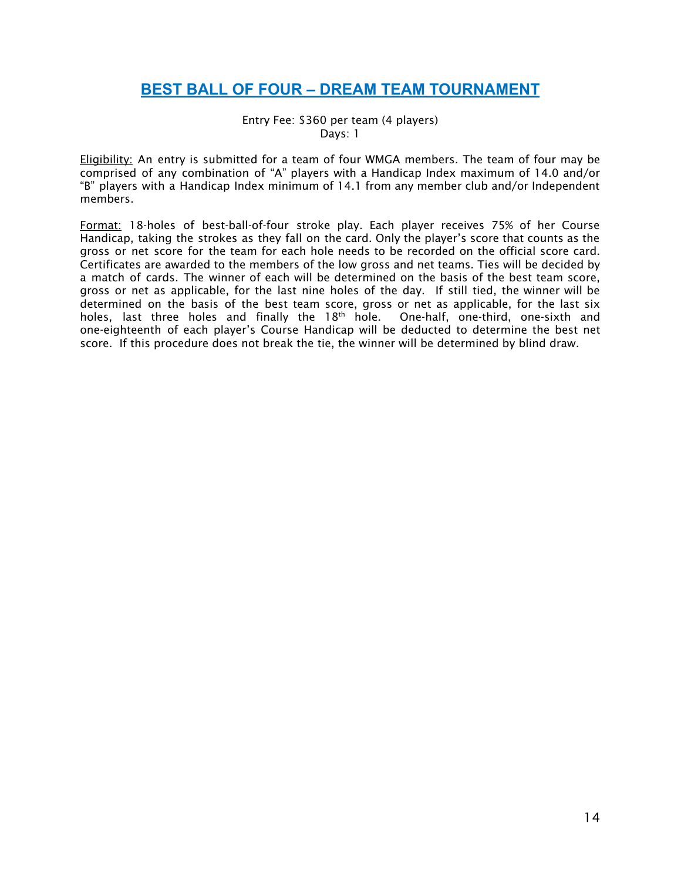## <span id="page-14-0"></span>**BEST BALL OF FOUR – DREAM TEAM TOURNAMENT**

Entry Fee: \$360 per team (4 players) Days: 1

Eligibility: An entry is submitted for a team of four WMGA members. The team of four may be comprised of any combination of "A" players with a Handicap Index maximum of 14.0 and/or "B" players with a Handicap Index minimum of 14.1 from any member club and/or Independent members.

Format: 18-holes of best-ball-of-four stroke play. Each player receives 75% of her Course Handicap, taking the strokes as they fall on the card. Only the player's score that counts as the gross or net score for the team for each hole needs to be recorded on the official score card. Certificates are awarded to the members of the low gross and net teams. Ties will be decided by a match of cards. The winner of each will be determined on the basis of the best team score, gross or net as applicable, for the last nine holes of the day. If still tied, the winner will be determined on the basis of the best team score, gross or net as applicable, for the last six holes, last three holes and finally the 18<sup>th</sup> hole. One-half, one-third, one-sixth and one-eighteenth of each player's Course Handicap will be deducted to determine the best net score. If this procedure does not break the tie, the winner will be determined by blind draw.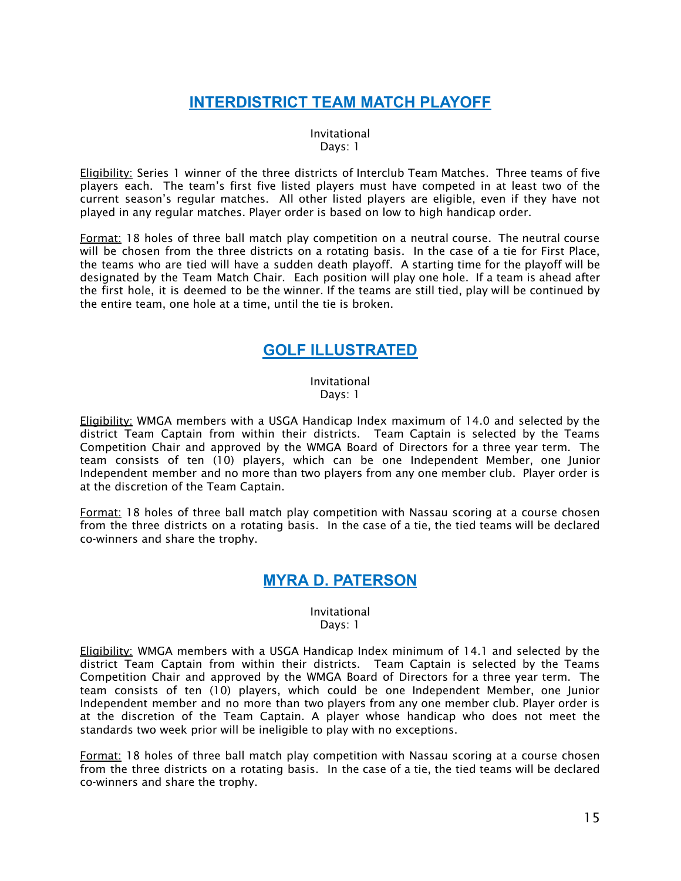## **INTERDISTRICT TEAM MATCH PLAYOFF**

Invitational Days: 1

<span id="page-15-0"></span>Eligibility: Series 1 winner of the three districts of Interclub Team Matches. Three teams of five players each. The team's first five listed players must have competed in at least two of the current season's regular matches. All other listed players are eligible, even if they have not played in any regular matches. Player order is based on low to high handicap order.

Format: 18 holes of three ball match play competition on a neutral course. The neutral course will be chosen from the three districts on a rotating basis. In the case of a tie for First Place, the teams who are tied will have a sudden death playoff. A starting time for the playoff will be designated by the Team Match Chair. Each position will play one hole. If a team is ahead after the first hole, it is deemed to be the winner. If the teams are still tied, play will be continued by the entire team, one hole at a time, until the tie is broken.

### **GOLF ILLUSTRATED**

#### Invitational Days: 1

<span id="page-15-1"></span>**Eligibility:** WMGA members with a USGA Handicap Index maximum of 14.0 and selected by the district Team Captain from within their districts. Team Captain is selected by the Teams Competition Chair and approved by the WMGA Board of Directors for a three year term. The team consists of ten (10) players, which can be one Independent Member, one Junior Independent member and no more than two players from any one member club. Player order is at the discretion of the Team Captain.

<span id="page-15-2"></span>Format: 18 holes of three ball match play competition with Nassau scoring at a course chosen from the three districts on a rotating basis. In the case of a tie, the tied teams will be declared co-winners and share the trophy.

### **MYRA D. PATERSON**

#### Invitational Days: 1

Eligibility: WMGA members with a USGA Handicap Index minimum of 14.1 and selected by the district Team Captain from within their districts. Team Captain is selected by the Teams Competition Chair and approved by the WMGA Board of Directors for a three year term. The team consists of ten (10) players, which could be one Independent Member, one Junior Independent member and no more than two players from any one member club. Player order is at the discretion of the Team Captain. A player whose handicap who does not meet the standards two week prior will be ineligible to play with no exceptions.

**Format:** 18 holes of three ball match play competition with Nassau scoring at a course chosen from the three districts on a rotating basis. In the case of a tie, the tied teams will be declared co-winners and share the trophy.